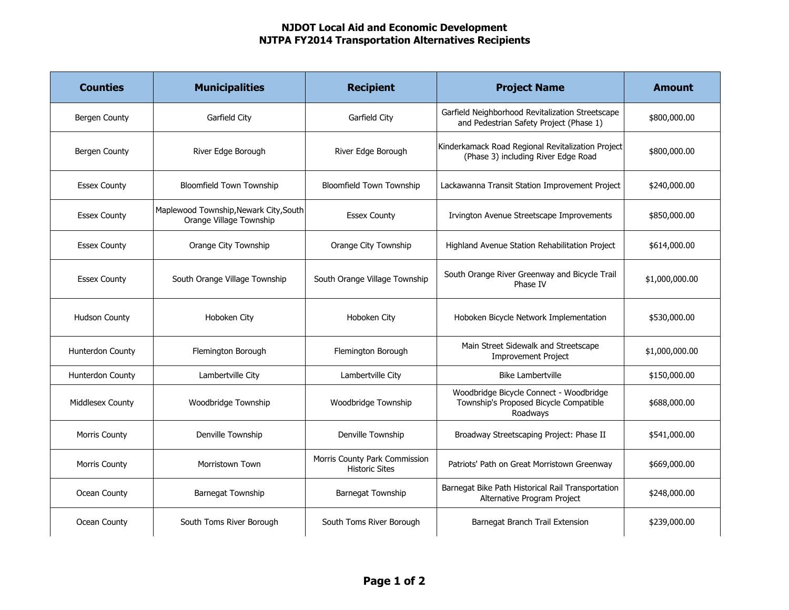## NJDOT Local Aid and Economic Development NJTPA FY2014 Transportation Alternatives Recipients

| <b>Counties</b>      | <b>Municipalities</b>                                             | <b>Recipient</b>                                       | <b>Project Name</b>                                                                           | <b>Amount</b>  |
|----------------------|-------------------------------------------------------------------|--------------------------------------------------------|-----------------------------------------------------------------------------------------------|----------------|
| Bergen County        | Garfield City                                                     | Garfield City                                          | Garfield Neighborhood Revitalization Streetscape<br>and Pedestrian Safety Project (Phase 1)   | \$800,000.00   |
| Bergen County        | River Edge Borough                                                | River Edge Borough                                     | Kinderkamack Road Regional Revitalization Project<br>(Phase 3) including River Edge Road      | \$800,000.00   |
| <b>Essex County</b>  | <b>Bloomfield Town Township</b>                                   | <b>Bloomfield Town Township</b>                        | Lackawanna Transit Station Improvement Project                                                | \$240,000.00   |
| <b>Essex County</b>  | Maplewood Township, Newark City, South<br>Orange Village Township | <b>Essex County</b>                                    | Irvington Avenue Streetscape Improvements                                                     | \$850,000.00   |
| <b>Essex County</b>  | Orange City Township                                              | Orange City Township                                   | Highland Avenue Station Rehabilitation Project                                                | \$614,000.00   |
| <b>Essex County</b>  | South Orange Village Township                                     | South Orange Village Township                          | South Orange River Greenway and Bicycle Trail<br>Phase IV                                     | \$1,000,000.00 |
| <b>Hudson County</b> | Hoboken City                                                      | Hoboken City                                           | Hoboken Bicycle Network Implementation                                                        | \$530,000.00   |
| Hunterdon County     | Flemington Borough                                                | Flemington Borough                                     | Main Street Sidewalk and Streetscape<br><b>Improvement Project</b>                            | \$1,000,000.00 |
| Hunterdon County     | Lambertville City                                                 | Lambertville City                                      | <b>Bike Lambertville</b>                                                                      | \$150,000.00   |
| Middlesex County     | Woodbridge Township                                               | Woodbridge Township                                    | Woodbridge Bicycle Connect - Woodbridge<br>Township's Proposed Bicycle Compatible<br>Roadwavs | \$688,000.00   |
| <b>Morris County</b> | Denville Township                                                 | Denville Township                                      | Broadway Streetscaping Project: Phase II                                                      | \$541,000.00   |
| <b>Morris County</b> | Morristown Town                                                   | Morris County Park Commission<br><b>Historic Sites</b> | Patriots' Path on Great Morristown Greenway                                                   | \$669,000.00   |
| Ocean County         | Barnegat Township                                                 | Barnegat Township                                      | Barnegat Bike Path Historical Rail Transportation<br>Alternative Program Project              | \$248,000.00   |
| Ocean County         | South Toms River Borough                                          | South Toms River Borough                               | Barnegat Branch Trail Extension                                                               | \$239,000.00   |